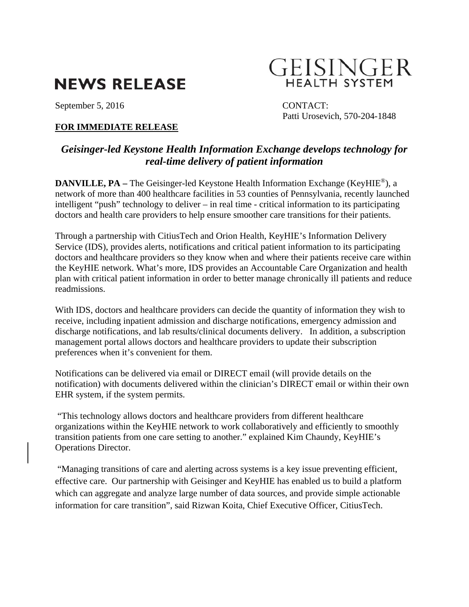# **NEWS RELEASE**

September 5, 2016 CONTACT:

## **FOR IMMEDIATE RELEASE**

# GEISINGER **HEALTH SYSTEM**

Patti Urosevich, 570-204-1848

# *Geisinger-led Keystone Health Information Exchange develops technology for real-time delivery of patient information*

**DANVILLE, PA** – The Geisinger-led Keystone Health Information Exchange (KeyHIE<sup>®</sup>), a network of more than 400 healthcare facilities in 53 counties of Pennsylvania, recently launched intelligent "push" technology to deliver – in real time - critical information to its participating doctors and health care providers to help ensure smoother care transitions for their patients.

Through a partnership with CitiusTech and Orion Health, KeyHIE's Information Delivery Service (IDS), provides alerts, notifications and critical patient information to its participating doctors and healthcare providers so they know when and where their patients receive care within the KeyHIE network. What's more, IDS provides an Accountable Care Organization and health plan with critical patient information in order to better manage chronically ill patients and reduce readmissions.

With IDS, doctors and healthcare providers can decide the quantity of information they wish to receive, including inpatient admission and discharge notifications, emergency admission and discharge notifications, and lab results/clinical documents delivery. In addition, a subscription management portal allows doctors and healthcare providers to update their subscription preferences when it's convenient for them.

Notifications can be delivered via email or DIRECT email (will provide details on the notification) with documents delivered within the clinician's DIRECT email or within their own EHR system, if the system permits.

 "This technology allows doctors and healthcare providers from different healthcare organizations within the KeyHIE network to work collaboratively and efficiently to smoothly transition patients from one care setting to another." explained Kim Chaundy, KeyHIE's Operations Director.

 "Managing transitions of care and alerting across systems is a key issue preventing efficient, effective care. Our partnership with Geisinger and KeyHIE has enabled us to build a platform which can aggregate and analyze large number of data sources, and provide simple actionable information for care transition", said Rizwan Koita, Chief Executive Officer, CitiusTech.